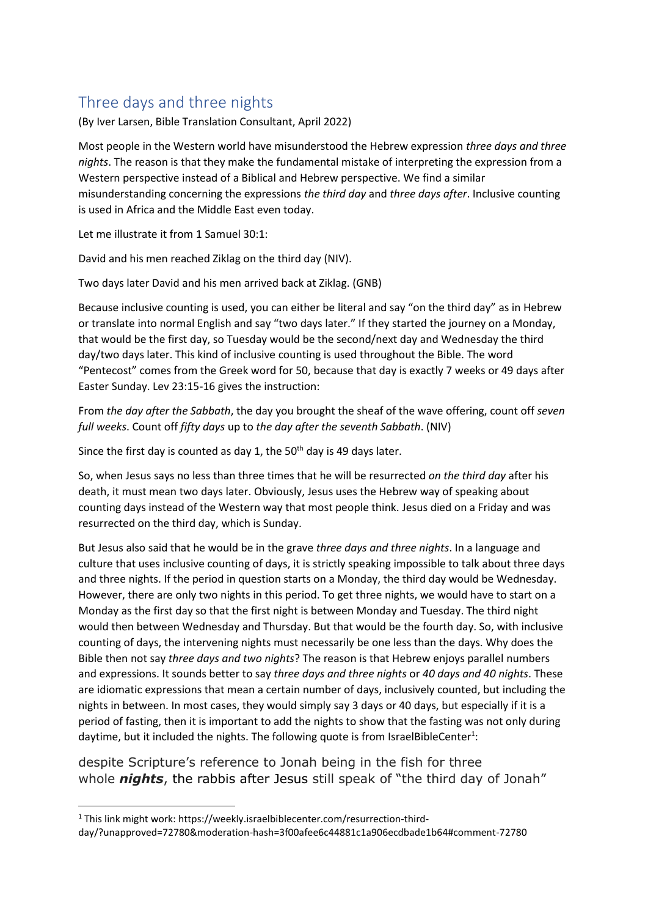## Three days and three nights

(By Iver Larsen, Bible Translation Consultant, April 2022)

Most people in the Western world have misunderstood the Hebrew expression *three days and three nights*. The reason is that they make the fundamental mistake of interpreting the expression from a Western perspective instead of a Biblical and Hebrew perspective. We find a similar misunderstanding concerning the expressions *the third day* and *three days after*. Inclusive counting is used in Africa and the Middle East even today.

Let me illustrate it from 1 Samuel 30:1:

David and his men reached Ziklag on the third day (NIV).

Two days later David and his men arrived back at Ziklag. (GNB)

Because inclusive counting is used, you can either be literal and say "on the third day" as in Hebrew or translate into normal English and say "two days later." If they started the journey on a Monday, that would be the first day, so Tuesday would be the second/next day and Wednesday the third day/two days later. This kind of inclusive counting is used throughout the Bible. The word "Pentecost" comes from the Greek word for 50, because that day is exactly 7 weeks or 49 days after Easter Sunday. Lev 23:15-16 gives the instruction:

From *the day after the Sabbath*, the day you brought the sheaf of the wave offering, count off *seven full weeks*. Count off *fifty days* up to *the day after the seventh Sabbath*. (NIV)

Since the first day is counted as day 1, the  $50<sup>th</sup>$  day is 49 days later.

So, when Jesus says no less than three times that he will be resurrected *on the third day* after his death, it must mean two days later. Obviously, Jesus uses the Hebrew way of speaking about counting days instead of the Western way that most people think. Jesus died on a Friday and was resurrected on the third day, which is Sunday.

But Jesus also said that he would be in the grave *three days and three nights*. In a language and culture that uses inclusive counting of days, it is strictly speaking impossible to talk about three days and three nights. If the period in question starts on a Monday, the third day would be Wednesday. However, there are only two nights in this period. To get three nights, we would have to start on a Monday as the first day so that the first night is between Monday and Tuesday. The third night would then between Wednesday and Thursday. But that would be the fourth day. So, with inclusive counting of days, the intervening nights must necessarily be one less than the days. Why does the Bible then not say *three days and two nights*? The reason is that Hebrew enjoys parallel numbers and expressions. It sounds better to say *three days and three nights* or *40 days and 40 nights*. These are idiomatic expressions that mean a certain number of days, inclusively counted, but including the nights in between. In most cases, they would simply say 3 days or 40 days, but especially if it is a period of fasting, then it is important to add the nights to show that the fasting was not only during daytime, but it included the nights. The following quote is from IsraelBibleCenter<sup>1</sup>:

despite Scripture's reference to Jonah being in the fish for three whole *nights*, the rabbis after Jesus still speak of "the third day of Jonah"

<sup>&</sup>lt;sup>1</sup> This link might work: https://weekly.israelbiblecenter.com/resurrection-thirdday/?unapproved=72780&moderation-hash=3f00afee6c44881c1a906ecdbade1b64#comment-72780